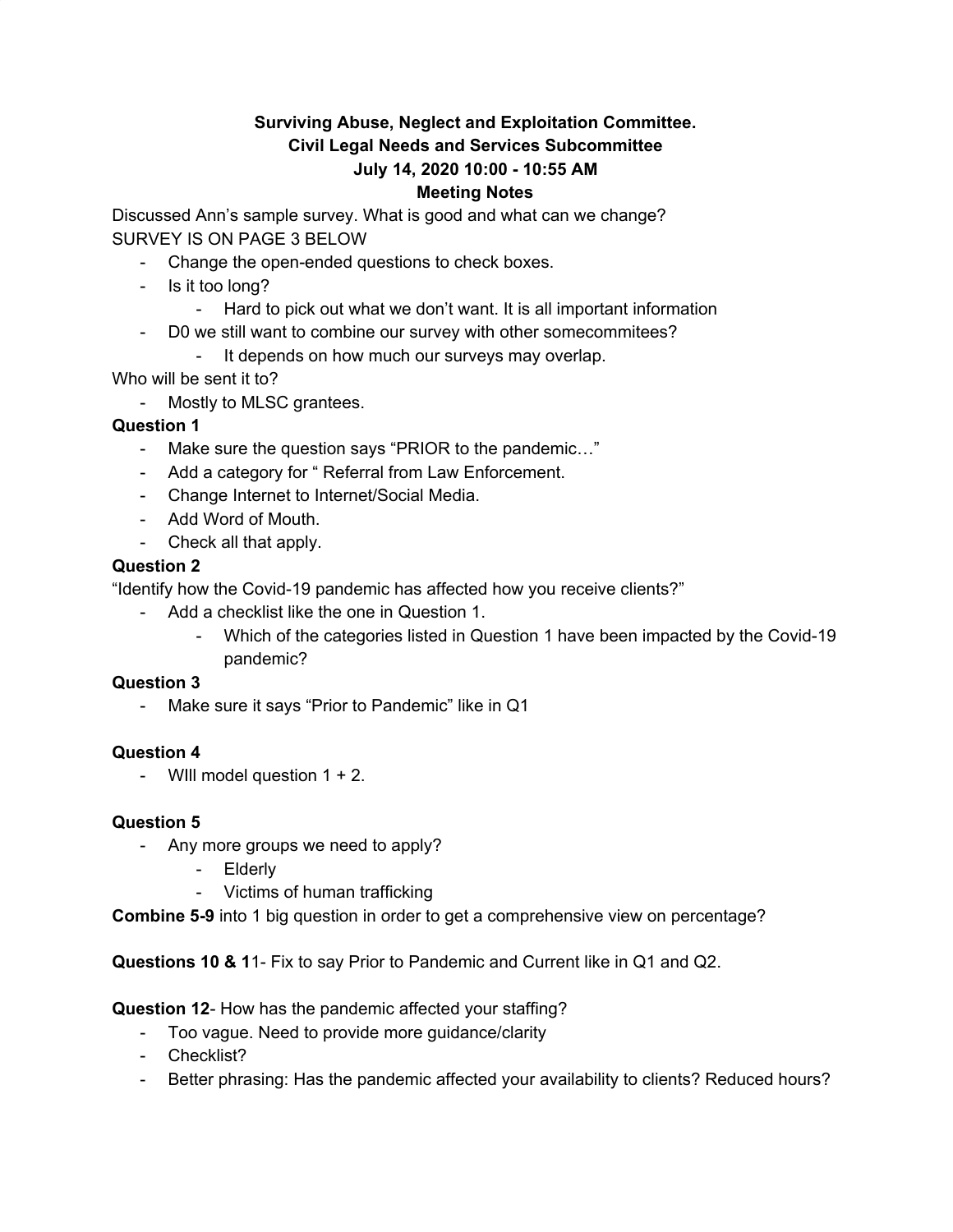### **Surviving Abuse, Neglect and Exploitation Committee. Civil Legal Needs and Services Subcommittee July 14, 2020 10:00 - 10:55 AM Meeting Notes**

Discussed Ann's sample survey. What is good and what can we change? SURVEY IS ON PAGE 3 BELOW

- Change the open-ended questions to check boxes.
- Is it too long?
	- Hard to pick out what we don't want. It is all important information
- D0 we still want to combine our survey with other somecommitees?
	- It depends on how much our surveys may overlap.

Who will be sent it to?

- Mostly to MLSC grantees.

## **Question 1**

- Make sure the question says "PRIOR to the pandemic…"
- Add a category for " Referral from Law Enforcement.
- Change Internet to Internet/Social Media.
- Add Word of Mouth.
- Check all that apply.

### **Question 2**

"Identify how the Covid-19 pandemic has affected how you receive clients?"

- Add a checklist like the one in Question 1.
	- Which of the categories listed in Question 1 have been impacted by the Covid-19 pandemic?

### **Question 3**

- Make sure it says "Prior to Pandemic" like in Q1

### **Question 4**

- Will model question  $1 + 2$ .

### **Question 5**

- Any more groups we need to apply?
	- Elderly
	- Victims of human trafficking

**Combine 5-9** into 1 big question in order to get a comprehensive view on percentage?

**Questions 10 & 1**1- Fix to say Prior to Pandemic and Current like in Q1 and Q2.

**Question 12**- How has the pandemic affected your staffing?

- Too vague. Need to provide more guidance/clarity
- Checklist?
- Better phrasing: Has the pandemic affected your availability to clients? Reduced hours?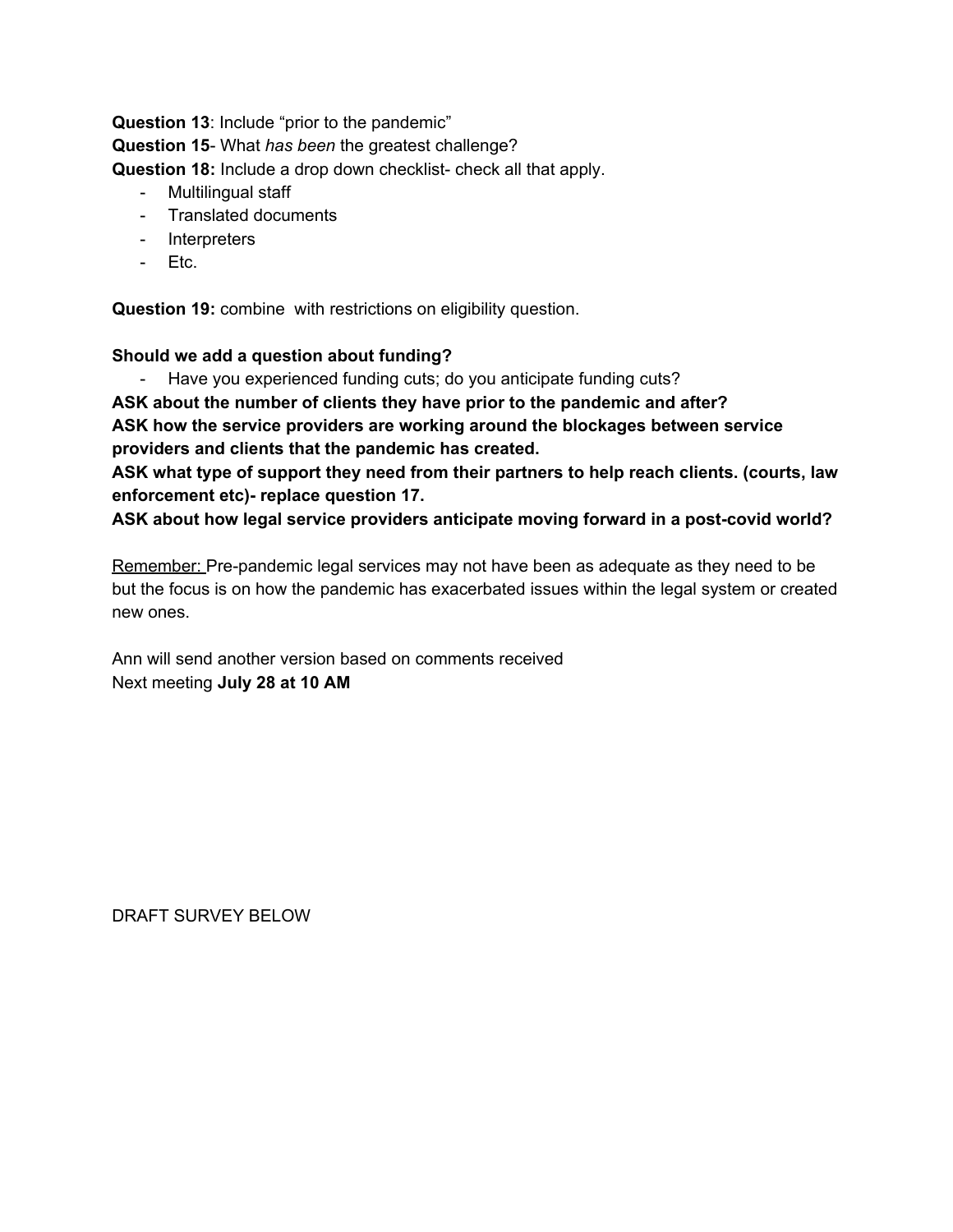**Question 13**: Include "prior to the pandemic" **Question 15**- What *has been* the greatest challenge? **Question 18:** Include a drop down checklist- check all that apply.

- Multilingual staff
- Translated documents
- Interpreters
- Etc.

**Question 19:** combine with restrictions on eligibility question.

#### **Should we add a question about funding?**

- Have you experienced funding cuts; do you anticipate funding cuts?

**ASK about the number of clients they have prior to the pandemic and after?**

**ASK how the service providers are working around the blockages between service providers and clients that the pandemic has created.**

**ASK what type of support they need from their partners to help reach clients. (courts, law enforcement etc)- replace question 17.**

**ASK about how legal service providers anticipate moving forward in a post-covid world?**

Remember: Pre-pandemic legal services may not have been as adequate as they need to be but the focus is on how the pandemic has exacerbated issues within the legal system or created new ones.

Ann will send another version based on comments received Next meeting **July 28 at 10 AM**

DRAFT SURVEY BELOW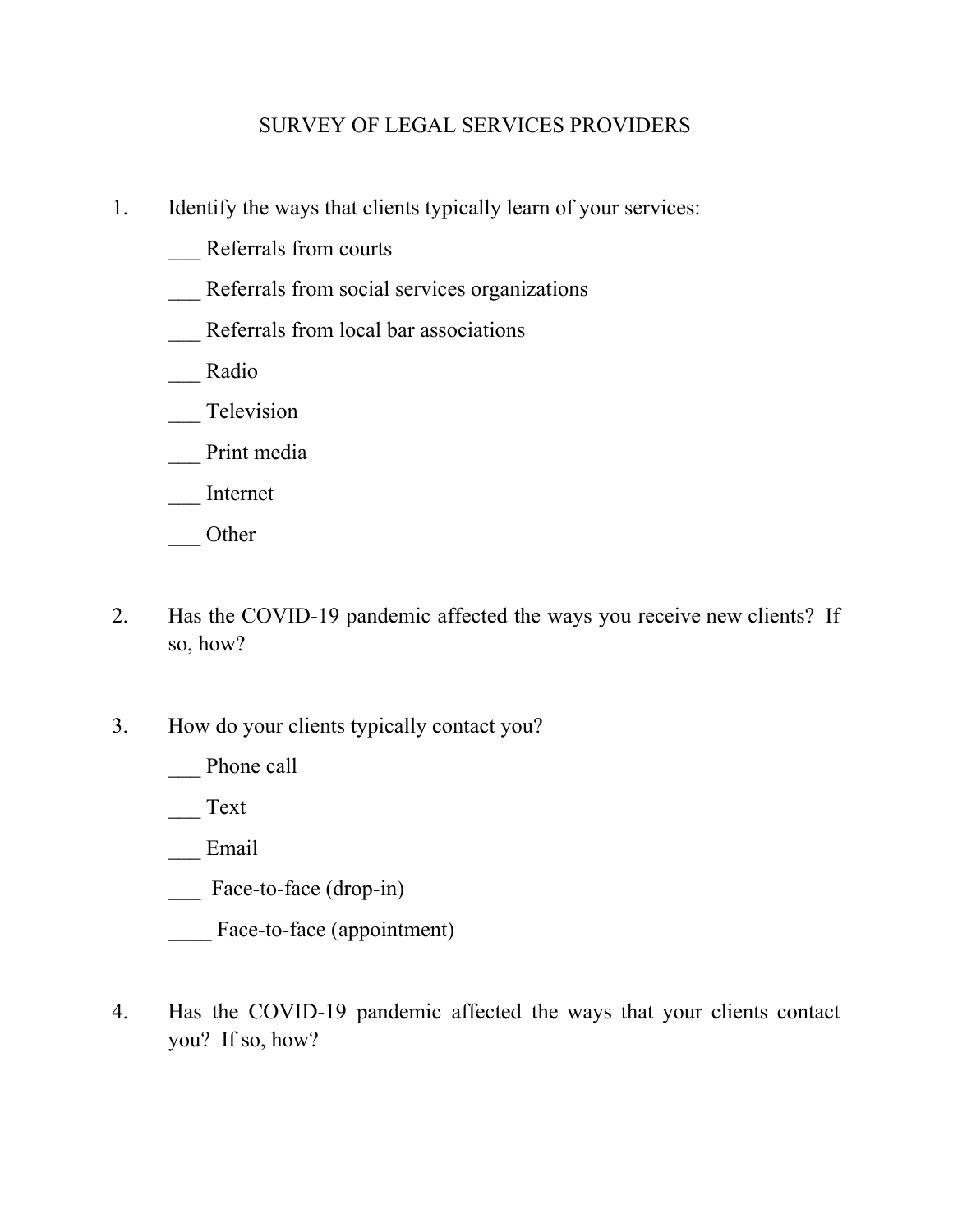# SURVEY OF LEGAL SERVICES PROVIDERS

- 1. Identify the ways that clients typically learn of your services:
	- \_\_\_ Referrals from courts
	- Referrals from social services organizations
	- \_\_\_ Referrals from local bar associations
	- \_\_\_ Radio
	- Television
	- Print media
	- \_\_\_ Internet
	- \_\_\_ Other
- 2. Has the COVID-19 pandemic affected the ways you receive new clients? If so, how?
- 3. How do your clients typically contact you?
	- Phone call

\_\_\_ Text

\_\_\_ Email

Face-to-face (drop-in)

Face-to-face (appointment)

4. Has the COVID-19 pandemic affected the ways that your clients contact you? If so, how?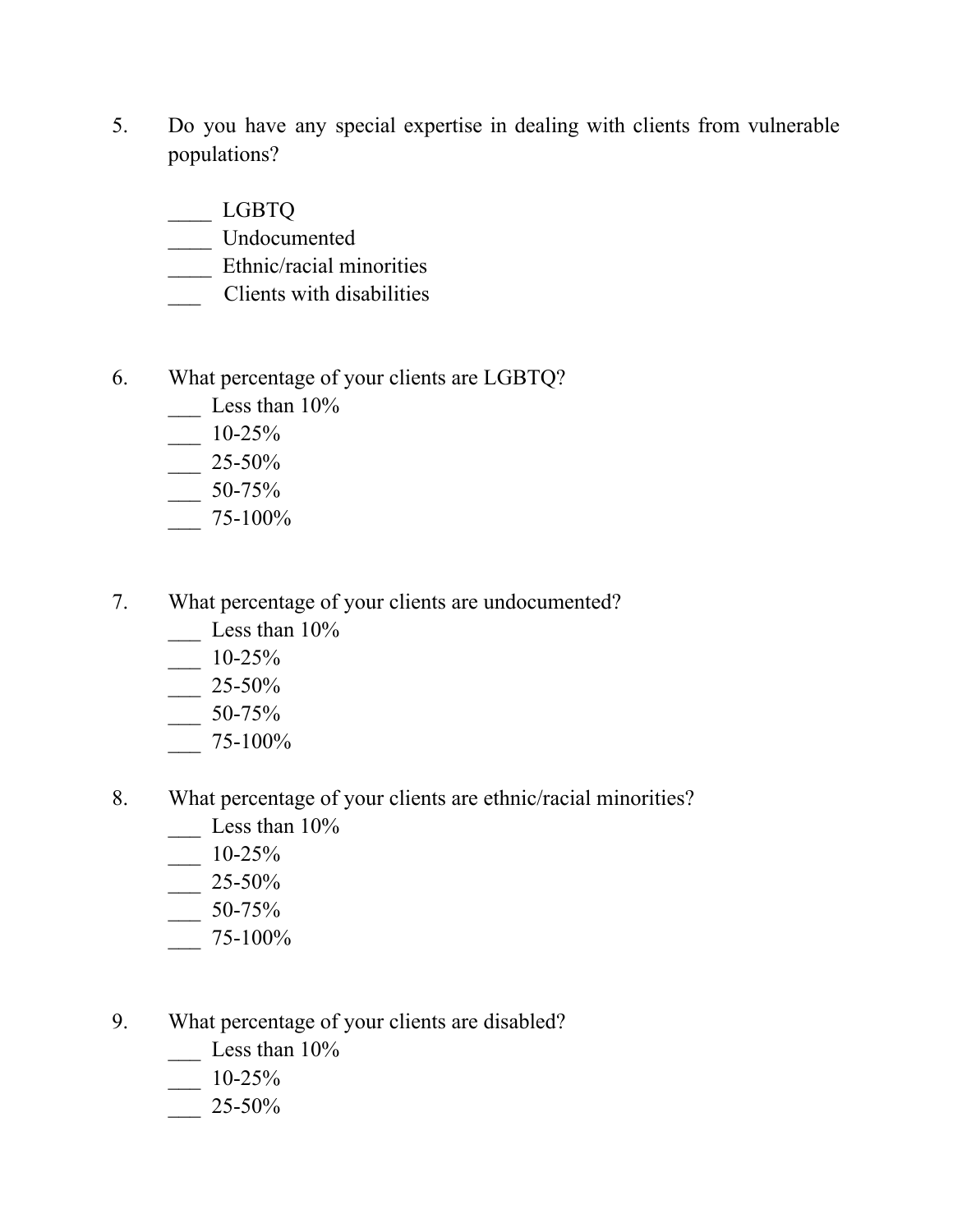- 5. Do you have any special expertise in dealing with clients from vulnerable populations?
	- \_\_\_\_ LGBTQ
	- \_\_\_\_ Undocumented
	- \_\_\_\_ Ethnic/racial minorities
	- \_\_\_ Clients with disabilities
- 6. What percentage of your clients are LGBTQ?
	- $\frac{2}{\sqrt{2}}$  Less than 10%
	- $-$  10-25%
	- $-25-50%$
	- $-50-75%$
	- \_\_\_ 75-100%
- 7. What percentage of your clients are undocumented?
	- $\frac{2}{\sqrt{2}}$  Less than 10%
		- $-$  10-25%
	- $\frac{25-50\%}{ }$
	- $-$  50-75%
	- $-$  75-100%
- 8. What percentage of your clients are ethnic/racial minorities?
	- $\frac{2}{\sqrt{2}}$  Less than 10%
	- \_\_\_ 10-25%
	- \_\_\_ 25-50%
	- $-50-75%$
	- $-$  75-100%
- 9. What percentage of your clients are disabled?
	- Less than  $10\%$
	- $-10-25%$
	- \_\_\_ 25-50%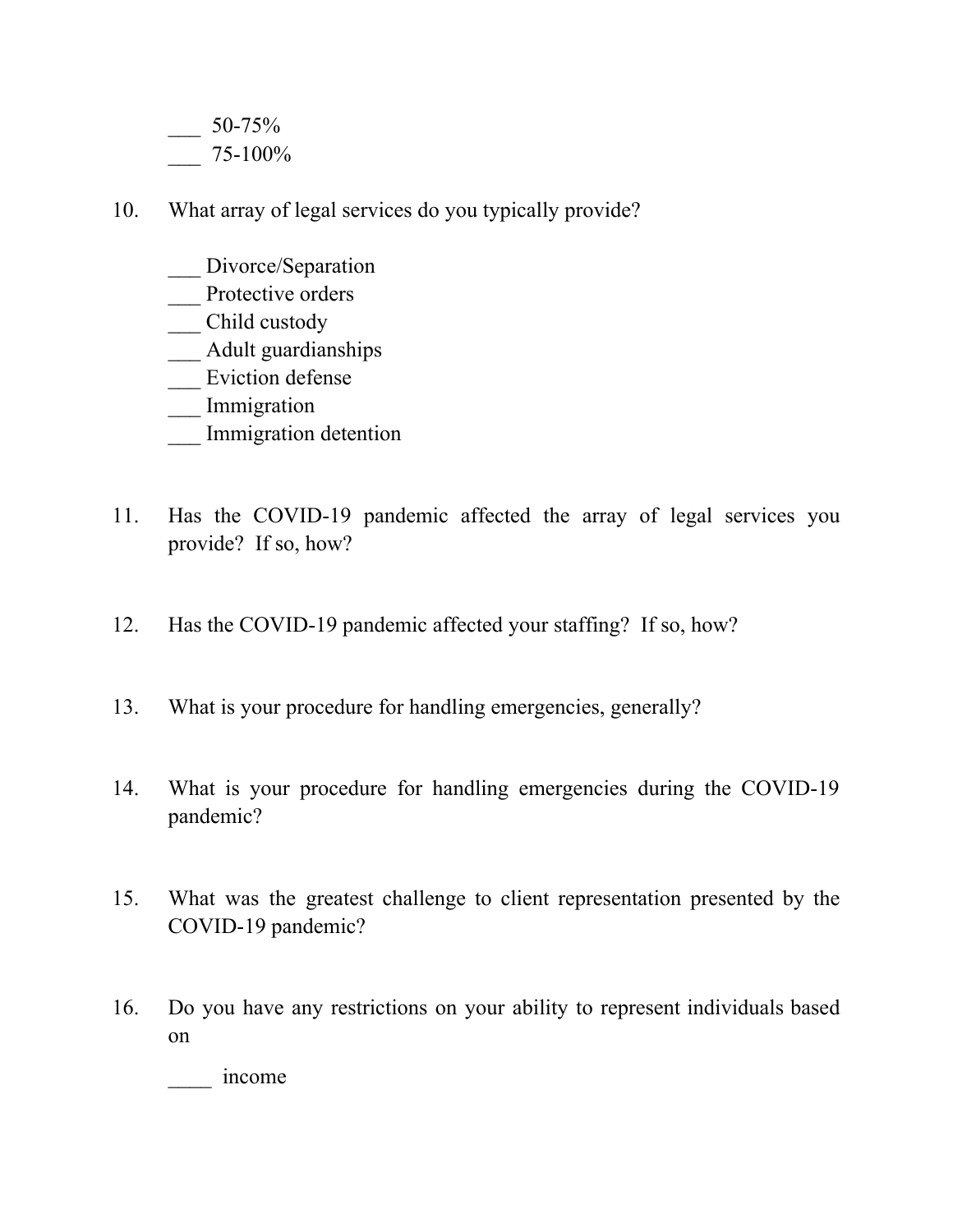50-75% \_\_\_ 75-100%

- 10. What array of legal services do you typically provide?
	- \_\_ Divorce/Separation
	- Protective orders
	- \_\_\_ Child custody
	- \_\_\_ Adult guardianships
	- \_\_\_ Eviction defense
	- \_\_\_ Immigration
	- Immigration detention
- 11. Has the COVID-19 pandemic affected the array of legal services you provide? If so, how?
- 12. Has the COVID-19 pandemic affected your staffing? If so, how?
- 13. What is your procedure for handling emergencies, generally?
- 14. What is your procedure for handling emergencies during the COVID-19 pandemic?
- 15. What was the greatest challenge to client representation presented by the COVID-19 pandemic?
- 16. Do you have any restrictions on your ability to represent individuals based on

\_\_\_\_ income